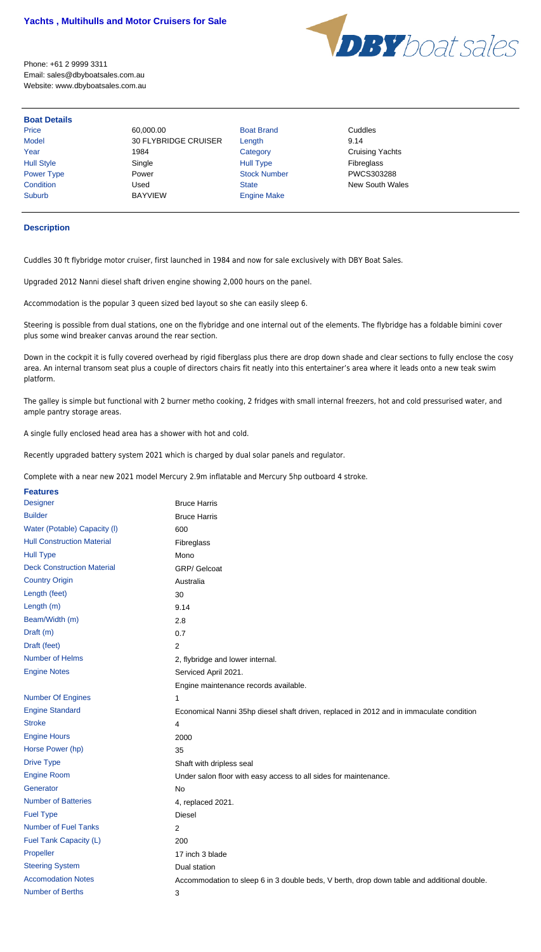

Phone: +61 2 9999 3311 Email: sales@dbyboatsales.com.au Website: www.dbyboatsales.com.au

## **Boat Details**

Price 60,000.00 Boat Brand Cuddles Model 30 FLYBRIDGE CRUISER Length 9.14 Year 1984 1984 Category Careway Cruising Yachts Hull Style  $\begin{array}{ccc} \text{Single} & \text{Single} & \text{Hull Type} \end{array}$ Power Type **Power Power Stock Number** PWCS303288 **Condition** Used Used State State New South Wales Suburb BAYVIEW Engine Make

## **Description**

Cuddles 30 ft flybridge motor cruiser, first launched in 1984 and now for sale exclusively with DBY Boat Sales.

Upgraded 2012 Nanni diesel shaft driven engine showing 2,000 hours on the panel.

Accommodation is the popular 3 queen sized bed layout so she can easily sleep 6.

Steering is possible from dual stations, one on the flybridge and one internal out of the elements. The flybridge has a foldable bimini cover plus some wind breaker canvas around the rear section.

Down in the cockpit it is fully covered overhead by rigid fiberglass plus there are drop down shade and clear sections to fully enclose the cosy area. An internal transom seat plus a couple of directors chairs fit neatly into this entertainer's area where it leads onto a new teak swim platform.

The galley is simple but functional with 2 burner metho cooking, 2 fridges with small internal freezers, hot and cold pressurised water, and ample pantry storage areas.

| <b>Number Of Engines</b>    | 1                                                                                          |
|-----------------------------|--------------------------------------------------------------------------------------------|
| <b>Engine Standard</b>      | Economical Nanni 35hp diesel shaft driven, replaced in 2012 and in immaculate condition    |
| <b>Stroke</b>               | 4                                                                                          |
| <b>Engine Hours</b>         | 2000                                                                                       |
| Horse Power (hp)            | 35                                                                                         |
| <b>Drive Type</b>           | Shaft with dripless seal                                                                   |
| <b>Engine Room</b>          | Under salon floor with easy access to all sides for maintenance.                           |
| Generator                   | No                                                                                         |
| <b>Number of Batteries</b>  | 4, replaced 2021.                                                                          |
| <b>Fuel Type</b>            | <b>Diesel</b>                                                                              |
| <b>Number of Fuel Tanks</b> | 2                                                                                          |
| Fuel Tank Capacity (L)      | 200                                                                                        |
| Propeller                   | 17 inch 3 blade                                                                            |
| <b>Steering System</b>      | Dual station                                                                               |
| <b>Accomodation Notes</b>   | Accommodation to sleep 6 in 3 double beds, V berth, drop down table and additional double. |
| <b>Number of Berths</b>     | 3                                                                                          |

A single fully enclosed head area has a shower with hot and cold.

Recently upgraded battery system 2021 which is charged by dual solar panels and regulator.

Complete with a near new 2021 model Mercury 2.9m inflatable and Mercury 5hp outboard 4 stroke.

| <b>Features</b>                   |                                       |
|-----------------------------------|---------------------------------------|
| <b>Designer</b>                   | <b>Bruce Harris</b>                   |
| <b>Builder</b>                    | <b>Bruce Harris</b>                   |
| Water (Potable) Capacity (I)      | 600                                   |
| <b>Hull Construction Material</b> | Fibreglass                            |
| <b>Hull Type</b>                  | Mono                                  |
| <b>Deck Construction Material</b> | <b>GRP/</b> Gelcoat                   |
| <b>Country Origin</b>             | Australia                             |
| Length (feet)                     | 30                                    |
| Length $(m)$                      | 9.14                                  |
| Beam/Width (m)                    | 2.8                                   |
| Draft (m)                         | 0.7                                   |
| Draft (feet)                      | 2                                     |
| <b>Number of Helms</b>            | 2, flybridge and lower internal.      |
| <b>Engine Notes</b>               | Serviced April 2021.                  |
|                                   | Engine maintenance records available. |